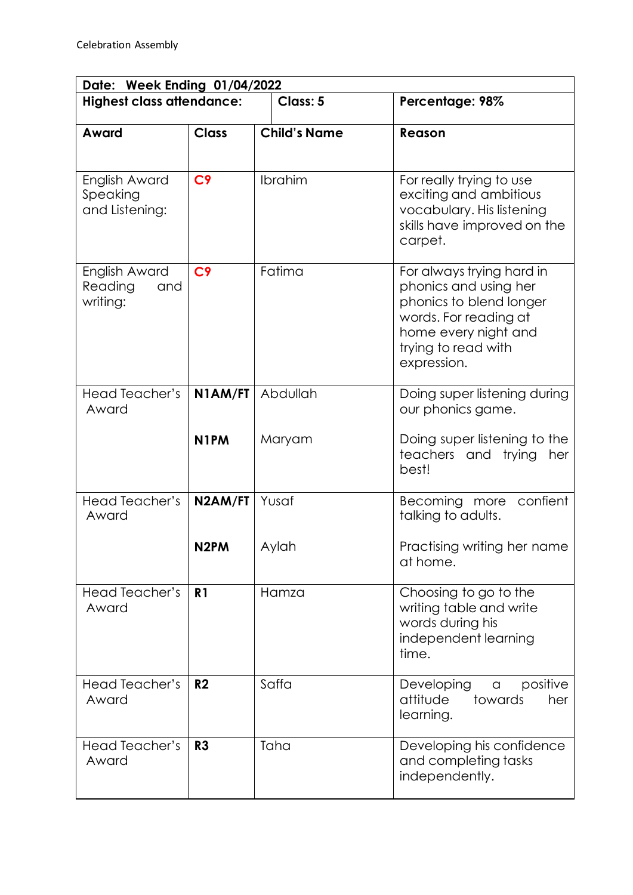| Date: Week Ending 01/04/2022                |                   |                     |                                                                                                                                                                      |  |  |
|---------------------------------------------|-------------------|---------------------|----------------------------------------------------------------------------------------------------------------------------------------------------------------------|--|--|
| <b>Highest class attendance:</b>            |                   | Class: 5            | Percentage: 98%                                                                                                                                                      |  |  |
| Award                                       | <b>Class</b>      | <b>Child's Name</b> | Reason                                                                                                                                                               |  |  |
| English Award<br>Speaking<br>and Listening: | C <sub>9</sub>    | Ibrahim             | For really trying to use<br>exciting and ambitious<br>vocabulary. His listening<br>skills have improved on the<br>carpet.                                            |  |  |
| English Award<br>Reading<br>and<br>writing: | C <sub>9</sub>    | Fatima              | For always trying hard in<br>phonics and using her<br>phonics to blend longer<br>words. For reading at<br>home every night and<br>trying to read with<br>expression. |  |  |
| Head Teacher's<br>Award                     | N1AM/FT           | Abdullah            | Doing super listening during<br>our phonics game.                                                                                                                    |  |  |
|                                             | N <sub>1</sub> PM | Maryam              | Doing super listening to the<br>teachers and<br>trying<br>her<br>best!                                                                                               |  |  |
| Head Teacher's<br>Award                     | N2AM/FT           | Yusaf               | Becoming more<br>confient<br>talking to adults.                                                                                                                      |  |  |
|                                             | N <sub>2</sub> PM | Aylah               | Practising writing her name<br>at home.                                                                                                                              |  |  |
| <b>Head Teacher's</b><br>Award              | R <sub>1</sub>    | Hamza               | Choosing to go to the<br>writing table and write<br>words during his<br>independent learning<br>time.                                                                |  |  |
| Head Teacher's<br>Award                     | R <sub>2</sub>    | Saffa               | Developing<br>positive<br>$\alpha$<br>attitude<br>towards<br>her<br>learning.                                                                                        |  |  |
| Head Teacher's<br>Award                     | R <sub>3</sub>    | Taha                | Developing his confidence<br>and completing tasks<br>independently.                                                                                                  |  |  |